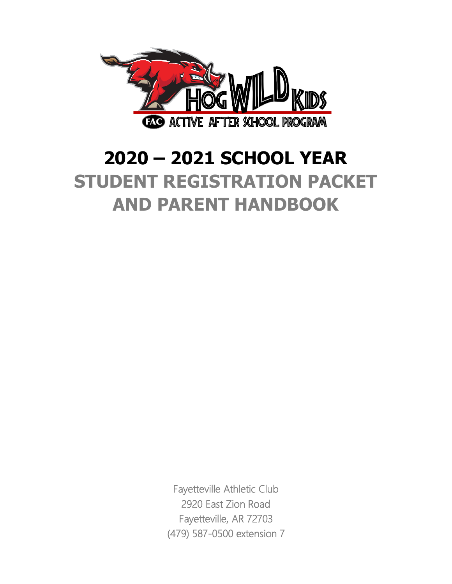

# **2020 – 2021 SCHOOL YEAR STUDENT REGISTRATION PACKET AND PARENT HANDBOOK**

Fayetteville Athletic Club 2920 East Zion Road Fayetteville, AR 72703 (479) 587-0500 extension 7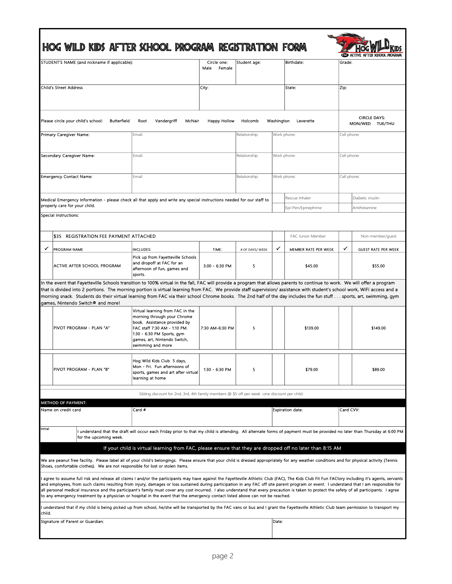|        | HOG WILD KIDS AFTER SCHOOL PROGRAM REGISTRATION FORM                                                                                                                                                                                                                                                                                                                                                                                                                                                                                                                                                                                                                                                                                                                                                             |                                                                                                                                                                                                                    |                               |                 |             |                      |             |                                        |
|--------|------------------------------------------------------------------------------------------------------------------------------------------------------------------------------------------------------------------------------------------------------------------------------------------------------------------------------------------------------------------------------------------------------------------------------------------------------------------------------------------------------------------------------------------------------------------------------------------------------------------------------------------------------------------------------------------------------------------------------------------------------------------------------------------------------------------|--------------------------------------------------------------------------------------------------------------------------------------------------------------------------------------------------------------------|-------------------------------|-----------------|-------------|----------------------|-------------|----------------------------------------|
|        | STUDENT'S NAME (and nickname if applicable):                                                                                                                                                                                                                                                                                                                                                                                                                                                                                                                                                                                                                                                                                                                                                                     |                                                                                                                                                                                                                    | Circle one:<br>Male<br>Female | Student age:    |             | Birthdate:           | Grade:      |                                        |
|        | Child's Street Address                                                                                                                                                                                                                                                                                                                                                                                                                                                                                                                                                                                                                                                                                                                                                                                           |                                                                                                                                                                                                                    | City:                         |                 |             | State.               | Zip:        |                                        |
|        | Please circle your child's school:<br>Butterfield                                                                                                                                                                                                                                                                                                                                                                                                                                                                                                                                                                                                                                                                                                                                                                | Root<br>Vandergriff<br>McNair                                                                                                                                                                                      | <b>Happy Hollow</b>           | Holcomb         | Washington  | Leverette            |             | <b>CIRCLE DAYS:</b><br>MON/WED TUE/THU |
|        | Primary Caregiver Name:                                                                                                                                                                                                                                                                                                                                                                                                                                                                                                                                                                                                                                                                                                                                                                                          | Email:                                                                                                                                                                                                             |                               | Relationship    | Work phone: |                      | Cell phone: |                                        |
|        | Secondary Caregiver Name:                                                                                                                                                                                                                                                                                                                                                                                                                                                                                                                                                                                                                                                                                                                                                                                        | Email:                                                                                                                                                                                                             |                               | Relationship    | Work phone: |                      | Cell phone: |                                        |
|        | <b>Emergency Contact Name:</b>                                                                                                                                                                                                                                                                                                                                                                                                                                                                                                                                                                                                                                                                                                                                                                                   | Email:                                                                                                                                                                                                             |                               | Relationship    | Work phone: |                      | Cell phone: |                                        |
|        |                                                                                                                                                                                                                                                                                                                                                                                                                                                                                                                                                                                                                                                                                                                                                                                                                  |                                                                                                                                                                                                                    |                               |                 |             | Rescue Inhaler       |             | Diabetic insulin                       |
|        | Medical Emergency Information - please check all that apply and write any special instructions needed for our staff to<br>properly care for your child.                                                                                                                                                                                                                                                                                                                                                                                                                                                                                                                                                                                                                                                          |                                                                                                                                                                                                                    |                               |                 |             | Epi-Pen/Epinephrine  |             | Antihistamine                          |
|        | Special instructions:                                                                                                                                                                                                                                                                                                                                                                                                                                                                                                                                                                                                                                                                                                                                                                                            |                                                                                                                                                                                                                    |                               |                 |             |                      |             |                                        |
|        | IS35 REGISTRATION FEE PAYMENT ATTACHED                                                                                                                                                                                                                                                                                                                                                                                                                                                                                                                                                                                                                                                                                                                                                                           |                                                                                                                                                                                                                    |                               |                 |             | FAC Junior Member    |             | Non-member/guest                       |
|        | <b>PROGRAM NAME</b>                                                                                                                                                                                                                                                                                                                                                                                                                                                                                                                                                                                                                                                                                                                                                                                              | <b>INCLUDES:</b>                                                                                                                                                                                                   | TIME:                         | # OF DAYS/ WEEK | ✓           | MEMBER RATE PER WEEK | ✓           | <b>GUEST RATE PER WEEK</b>             |
|        | ACTIVE AFTER SCHOOL PROGRAM                                                                                                                                                                                                                                                                                                                                                                                                                                                                                                                                                                                                                                                                                                                                                                                      | Pick up from Fayetteville Schools<br>and dropoff at FAC for an<br>afternoon of fun, games and<br>sports.                                                                                                           | 3:00 - 6:30 PM                | 5               |             | \$45.00              |             | \$55.00                                |
|        | In the event that Fayetteville Schools transition to 100% virtual in the fall, FAC will provide a program that allows parents to continue to work. We will offer a program<br>that is divided into 2 portions. The morning portion is virtual learning from FAC. We provide staff supervision/assistance with student's school work, WiFi access and a<br>morning snack. Students do their virtual learning from FAC via their school Chrome books. The 2nd half of the day includes the fun stuff sports, art, swimming, gym<br>games, Nintendo Switch® and more!                                                                                                                                                                                                                                               |                                                                                                                                                                                                                    |                               |                 |             |                      |             |                                        |
|        | PIVOT PROGRAM - PLAN "A"                                                                                                                                                                                                                                                                                                                                                                                                                                                                                                                                                                                                                                                                                                                                                                                         | Virtual learning from FAC in the<br>morning through your Chrome<br>book. Assistance provided by<br>FAC staff 7:30 AM - 1:10 PM.<br>1:30 - 6:30 PM Sports, gym<br>games, art, Nintendo Switch,<br>swimming and more | 7:30 AM-6:30 PM               | 5               |             | \$139.00             |             | \$149.00                               |
|        | PIVOT PROGRAM - PLAN "B"                                                                                                                                                                                                                                                                                                                                                                                                                                                                                                                                                                                                                                                                                                                                                                                         | Hog Wild Kids Club 5 days,<br>Mon - Fri. Fun afternoons of<br>sports, games and art after virtual<br>learning at home                                                                                              | 1:30 - 6:30 PM                | 5               |             | \$79.00              |             | \$89.00                                |
|        |                                                                                                                                                                                                                                                                                                                                                                                                                                                                                                                                                                                                                                                                                                                                                                                                                  | Sibling discount for 2nd, 3rd, 4th family members @ \$5 off per week -one discount per child.                                                                                                                      |                               |                 |             |                      |             |                                        |
|        | <b>METHOD OF PAYMENT:</b>                                                                                                                                                                                                                                                                                                                                                                                                                                                                                                                                                                                                                                                                                                                                                                                        |                                                                                                                                                                                                                    |                               |                 |             |                      |             |                                        |
|        | Name on credit card                                                                                                                                                                                                                                                                                                                                                                                                                                                                                                                                                                                                                                                                                                                                                                                              | Card #                                                                                                                                                                                                             |                               |                 |             | Expiration date:     | Card CVV:   |                                        |
| nitial | for the upcoming week.                                                                                                                                                                                                                                                                                                                                                                                                                                                                                                                                                                                                                                                                                                                                                                                           | I understand that the draft will occur each Friday prior to that my child is attending. All alternate forms of payment must be provided no later than Thursday at 6:00 PM                                          |                               |                 |             |                      |             |                                        |
|        | We are peanut free facility. Please label all of your child's belongings. Please ensure that your child is dressed appropriately for any weather conditions and for physical activity (Tennis                                                                                                                                                                                                                                                                                                                                                                                                                                                                                                                                                                                                                    | If your child is virtual learning from FAC, please ensure that they are dropped off no later than 8:15 AM                                                                                                          |                               |                 |             |                      |             |                                        |
|        | Shoes, comfortable clothes). We are not responsible for lost or stolen items.<br>agree to assume full risk and release all claims I and/or the participants may have against the Fayetteville Athletic Club (FAC), The Kids Club Fit Fun FACtory including it's agents, servants<br>and employees, from such claims resulting from injury, damages or loss sustained during participation in any FAC off site parent program or event. I understand that I am responsible for<br>all personal medical insurance and the participant's family must cover any cost incurred. I also understand that every precaution is taken to protect the safety of all participants. I agree<br>to any emergency treatment by a physician or hospital in the event that the emergency contact listed above can not be reached. |                                                                                                                                                                                                                    |                               |                 |             |                      |             |                                        |
| child. | understand that if my child is being picked up from school, he/she will be transported by the FAC vans or bus and I grant the Fayetteville Athletic Club team permission to transport my                                                                                                                                                                                                                                                                                                                                                                                                                                                                                                                                                                                                                         |                                                                                                                                                                                                                    |                               |                 |             |                      |             |                                        |
|        | Signature of Parent or Guardian:                                                                                                                                                                                                                                                                                                                                                                                                                                                                                                                                                                                                                                                                                                                                                                                 |                                                                                                                                                                                                                    |                               |                 | Date:       |                      |             |                                        |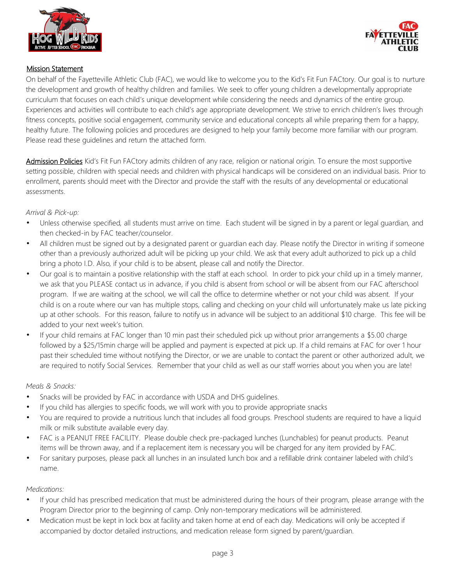



#### Mission Statement

On behalf of the Fayetteville Athletic Club (FAC), we would like to welcome you to the Kid's Fit Fun FACtory. Our goal is to nurture the development and growth of healthy children and families. We seek to offer young children a developmentally appropriate curriculum that focuses on each child's unique development while considering the needs and dynamics of the entire group. Experiences and activities will contribute to each child's age appropriate development. We strive to enrich children's lives through fitness concepts, positive social engagement, community service and educational concepts all while preparing them for a happy, healthy future. The following policies and procedures are designed to help your family become more familiar with our program. Please read these guidelines and return the attached form.

Admission Policies Kid's Fit Fun FACtory admits children of any race, religion or national origin. To ensure the most supportive setting possible, children with special needs and children with physical handicaps will be considered on an individual basis. Prior to enrollment, parents should meet with the Director and provide the staff with the results of any developmental or educational assessments.

#### *Arrival & Pick-up:*

- Unless otherwise specified, all students must arrive on time. Each student will be signed in by a parent or legal guardian, and then checked-in by FAC teacher/counselor.
- All children must be signed out by a designated parent or guardian each day. Please notify the Director in writing if someone other than a previously authorized adult will be picking up your child. We ask that every adult authorized to pick up a child bring a photo I.D. Also, if your child is to be absent, please call and notify the Director.
- Our goal is to maintain a positive relationship with the staff at each school. In order to pick your child up in a timely manner, we ask that you PLEASE contact us in advance, if you child is absent from school or will be absent from our FAC afterschool program. If we are waiting at the school, we will call the office to determine whether or not your child was absent. If your child is on a route where our van has multiple stops, calling and checking on your child will unfortunately make us late picking up at other schools. For this reason, failure to notify us in advance will be subject to an additional \$10 charge. This fee will be added to your next week's tuition.
- If your child remains at FAC longer than 10 min past their scheduled pick up without prior arrangements a \$5.00 charge followed by a \$25/15min charge will be applied and payment is expected at pick up. If a child remains at FAC for over 1 hour past their scheduled time without notifying the Director, or we are unable to contact the parent or other authorized adult, we are required to notify Social Services. Remember that your child as well as our staff worries about you when you are late!

#### *Meals & Snacks:*

- Snacks will be provided by FAC in accordance with USDA and DHS guidelines.
- If you child has allergies to specific foods, we will work with you to provide appropriate snacks
- You are required to provide a nutritious lunch that includes all food groups. Preschool students are required to have a liquid milk or milk substitute available every day.
- FAC is a PEANUT FREE FACILITY. Please double check pre-packaged lunches (Lunchables) for peanut products. Peanut items will be thrown away, and if a replacement item is necessary you will be charged for any item provided by FAC.
- For sanitary purposes, please pack all lunches in an insulated lunch box and a refillable drink container labeled with child's name.

#### *Medications:*

- If your child has prescribed medication that must be administered during the hours of their program, please arrange with the Program Director prior to the beginning of camp. Only non-temporary medications will be administered.
- Medication must be kept in lock box at facility and taken home at end of each day. Medications will only be accepted if accompanied by doctor detailed instructions, and medication release form signed by parent/guardian.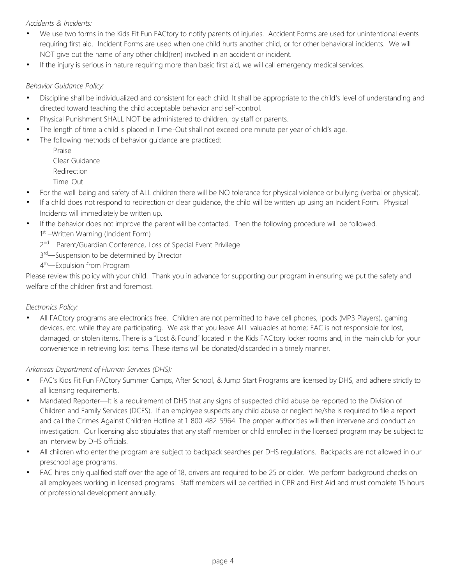#### *Accidents & Incidents:*

- We use two forms in the Kids Fit Fun FACtory to notify parents of injuries. Accident Forms are used for unintentional events requiring first aid. Incident Forms are used when one child hurts another child, or for other behavioral incidents. We will NOT give out the name of any other child(ren) involved in an accident or incident.
- If the injury is serious in nature requiring more than basic first aid, we will call emergency medical services.

#### *Behavior Guidance Policy:*

- Discipline shall be individualized and consistent for each child. It shall be appropriate to the child's level of understanding and directed toward teaching the child acceptable behavior and self-control.
- Physical Punishment SHALL NOT be administered to children, by staff or parents.
- The length of time a child is placed in Time-Out shall not exceed one minute per year of child's age.
- The following methods of behavior guidance are practiced:
	- Praise Clear Guidance Redirection Time-Out
- For the well-being and safety of ALL children there will be NO tolerance for physical violence or bullying (verbal or physical).
- If a child does not respond to redirection or clear guidance, the child will be written up using an Incident Form. Physical Incidents will immediately be written up.
- If the behavior does not improve the parent will be contacted. Then the following procedure will be followed. 1<sup>st</sup> – Written Warning (Incident Form)

2<sup>nd</sup>—Parent/Guardian Conference, Loss of Special Event Privilege

3<sup>rd</sup>—Suspension to be determined by Director

4<sup>th</sup>—Expulsion from Program

Please review this policy with your child. Thank you in advance for supporting our program in ensuring we put the safety and welfare of the children first and foremost.

#### *Electronics Policy:*

• All FACtory programs are electronics free. Children are not permitted to have cell phones, Ipods (MP3 Players), gaming devices, etc. while they are participating. We ask that you leave ALL valuables at home; FAC is not responsible for lost, damaged, or stolen items. There is a "Lost & Found" located in the Kids FACtory locker rooms and, in the main club for your convenience in retrieving lost items. These items will be donated/discarded in a timely manner.

#### *Arkansas Department of Human Services (DHS):*

- FAC's Kids Fit Fun FACtory Summer Camps, After School, & Jump Start Programs are licensed by DHS, and adhere strictly to all licensing requirements.
- Mandated Reporter—It is a requirement of DHS that any signs of suspected child abuse be reported to the Division of Children and Family Services (DCFS). If an employee suspects any child abuse or neglect he/she is required to file a report and call the Crimes Against Children Hotline at 1-800-482-5964. The proper authorities will then intervene and conduct an investigation. Our licensing also stipulates that any staff member or child enrolled in the licensed program may be subject to an interview by DHS officials.
- All children who enter the program are subject to backpack searches per DHS regulations. Backpacks are not allowed in our preschool age programs.
- FAC hires only qualified staff over the age of 18, drivers are required to be 25 or older. We perform background checks on all employees working in licensed programs. Staff members will be certified in CPR and First Aid and must complete 15 hours of professional development annually.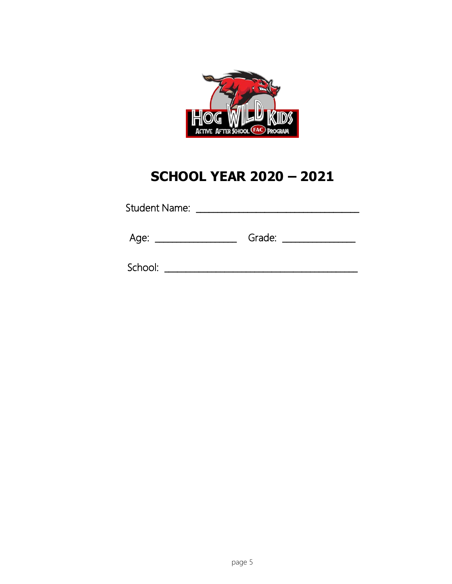

## **SCHOOL YEAR 2020 - 2021**

| Age: |  | Grade: |  |
|------|--|--------|--|
|------|--|--------|--|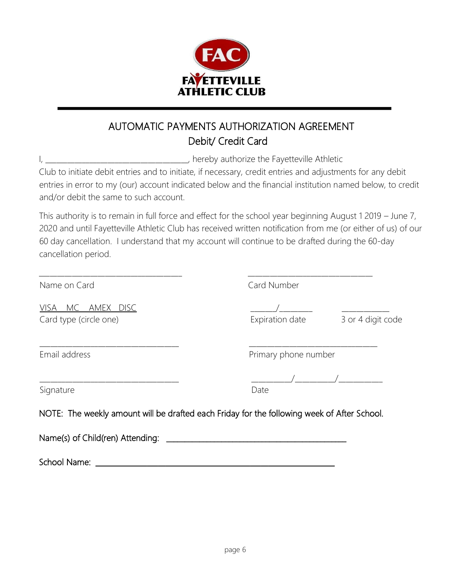

### AUTOMATIC PAYMENTS AUTHORIZATION AGREEMENT Debit/ Credit Card

I, **I** and the Fayetteville Athletic

Club to initiate debit entries and to initiate, if necessary, credit entries and adjustments for any debit entries in error to my (our) account indicated below and the financial institution named below, to credit and/or debit the same to such account.

This authority is to remain in full force and effect for the school year beginning August 1 2019 – June 7, 2020 and until Fayetteville Athletic Club has received written notification from me (or either of us) of our 60 day cancellation. I understand that my account will continue to be drafted during the 60-day cancellation period.

\_\_\_\_\_\_\_\_\_\_\_\_\_\_\_\_\_\_\_\_\_\_\_\_\_\_\_\_\_\_\_\_\_\_\_\_\_\_\_ \_\_\_\_\_\_\_\_\_\_\_\_\_\_\_\_\_\_\_\_\_\_\_\_\_\_\_\_\_\_\_\_\_\_

Name on Card Card Card Number

VISA MC AMEX DISC \_\_\_\_\_\_\_/\_\_\_\_\_\_\_\_\_ \_\_\_\_\_\_\_\_\_\_\_\_\_ visa MC AMEX DISC <br>
Card type (circle one) Card type (circle one) **Expiration date** 3 or 4 digit code

Email address **Primary phone number** Primary phone number

Signature Date

NOTE: The weekly amount will be drafted each Friday for the following week of After School.

\_\_\_\_\_\_\_\_\_\_\_\_\_\_\_\_\_\_\_\_\_\_\_\_\_\_\_\_\_\_\_\_\_\_\_\_\_\_ \_\_\_\_\_\_\_\_\_\_\_/\_\_\_\_\_\_\_\_\_\_\_/\_\_\_\_\_\_\_\_\_\_\_\_

 $\frac{1}{2}$  ,  $\frac{1}{2}$  ,  $\frac{1}{2}$  ,  $\frac{1}{2}$  ,  $\frac{1}{2}$  ,  $\frac{1}{2}$  ,  $\frac{1}{2}$  ,  $\frac{1}{2}$  ,  $\frac{1}{2}$  ,  $\frac{1}{2}$  ,  $\frac{1}{2}$  ,  $\frac{1}{2}$  ,  $\frac{1}{2}$  ,  $\frac{1}{2}$  ,  $\frac{1}{2}$  ,  $\frac{1}{2}$  ,  $\frac{1}{2}$  ,  $\frac{1}{2}$  ,  $\frac{1$ 

| Name(s) of Child(ren) Attending: |  |
|----------------------------------|--|
|----------------------------------|--|

School Name: \_\_\_\_\_\_\_\_\_\_\_\_\_\_\_\_\_\_\_\_\_\_\_\_\_\_\_\_\_\_\_\_\_\_\_\_\_\_\_\_\_\_\_\_\_\_\_\_\_\_\_\_\_\_\_\_\_\_\_\_\_\_\_\_\_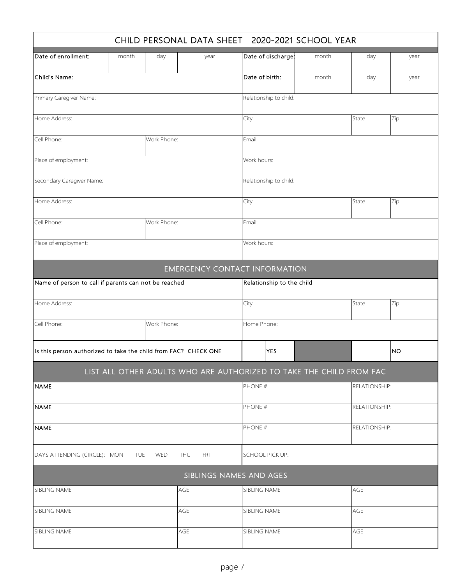| CHILD PERSONAL DATA SHEET 2020-2021 SCHOOL YEAR                 |       |             |      |                                                                     |       |               |           |  |  |
|-----------------------------------------------------------------|-------|-------------|------|---------------------------------------------------------------------|-------|---------------|-----------|--|--|
| Date of enrollment:                                             | month | day         | year | Date of discharge:                                                  | month | day           | year      |  |  |
| Child's Name:                                                   |       |             |      | Date of birth:                                                      | month | day           | year      |  |  |
| Primary Caregiver Name:                                         |       |             |      | Relationship to child:                                              |       |               |           |  |  |
| Home Address:                                                   |       |             |      | City                                                                |       | State         | Zip       |  |  |
| Cell Phone:                                                     |       | Work Phone: |      | Email:                                                              |       |               |           |  |  |
| Place of employment:                                            |       |             |      | Work hours:                                                         |       |               |           |  |  |
| Secondary Caregiver Name:                                       |       |             |      | Relationship to child:                                              |       |               |           |  |  |
| Home Address:                                                   |       |             |      | City                                                                |       | State         | Zip       |  |  |
| Cell Phone:                                                     |       | Work Phone: |      | Email:                                                              |       |               |           |  |  |
| Place of employment:                                            |       |             |      | Work hours:                                                         |       |               |           |  |  |
|                                                                 |       |             |      | <b>EMERGENCY CONTACT INFORMATION</b>                                |       |               |           |  |  |
| Name of person to call if parents can not be reached            |       |             |      | Relationship to the child                                           |       |               |           |  |  |
| Home Address:                                                   |       |             |      | City                                                                |       | State         | Zip       |  |  |
| Cell Phone:                                                     |       | Work Phone: |      | Home Phone:                                                         |       |               |           |  |  |
| Is this person authorized to take the child from FAC? CHECK ONE |       |             |      | <b>YES</b>                                                          |       |               | <b>NO</b> |  |  |
|                                                                 |       |             |      | LIST ALL OTHER ADULTS WHO ARE AUTHORIZED TO TAKE THE CHILD FROM FAC |       |               |           |  |  |
| <b>NAME</b>                                                     |       |             |      | PHONE #                                                             |       | RELATIONSHIP: |           |  |  |
| <b>NAME</b>                                                     |       |             |      | PHONE #                                                             |       | RELATIONSHIP: |           |  |  |
| <b>NAME</b>                                                     |       |             |      | PHONE #                                                             |       | RELATIONSHIP: |           |  |  |
| DAYS ATTENDING (CIRCLE): MON TUE<br>THU<br><b>WED</b><br>FRI    |       |             |      | <b>SCHOOL PICK UP:</b>                                              |       |               |           |  |  |
|                                                                 |       |             |      | SIBLINGS NAMES AND AGES                                             |       |               |           |  |  |
| SIBLING NAME                                                    |       |             | AGE  | SIBLING NAME                                                        |       | AGE           |           |  |  |
| SIBLING NAME                                                    |       |             | AGE  | SIBLING NAME                                                        |       | AGE           |           |  |  |
| SIBLING NAME                                                    |       |             | AGE  | SIBLING NAME                                                        |       | AGE           |           |  |  |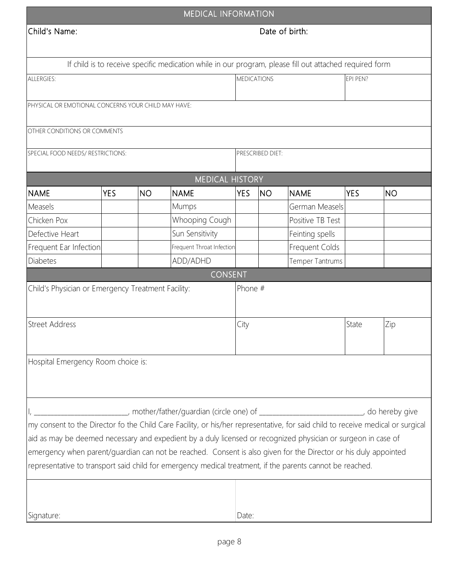|                                                                                                                                 |            |           | <b>MEDICAL INFORMATION</b>                                                                              |                    |                  |                  |            |           |
|---------------------------------------------------------------------------------------------------------------------------------|------------|-----------|---------------------------------------------------------------------------------------------------------|--------------------|------------------|------------------|------------|-----------|
| Child's Name:                                                                                                                   |            |           |                                                                                                         |                    |                  | Date of birth:   |            |           |
|                                                                                                                                 |            |           |                                                                                                         |                    |                  |                  |            |           |
|                                                                                                                                 |            |           | If child is to receive specific medication while in our program, please fill out attached required form |                    |                  |                  |            |           |
| ALLERGIES:                                                                                                                      |            |           |                                                                                                         | <b>MEDICATIONS</b> |                  |                  | EPI PEN?   |           |
|                                                                                                                                 |            |           |                                                                                                         |                    |                  |                  |            |           |
| PHYSICAL OR EMOTIONAL CONCERNS YOUR CHILD MAY HAVE:                                                                             |            |           |                                                                                                         |                    |                  |                  |            |           |
|                                                                                                                                 |            |           |                                                                                                         |                    |                  |                  |            |           |
| OTHER CONDITIONS OR COMMENTS                                                                                                    |            |           |                                                                                                         |                    |                  |                  |            |           |
| SPECIAL FOOD NEEDS/RESTRICTIONS:                                                                                                |            |           |                                                                                                         |                    | PRESCRIBED DIET: |                  |            |           |
|                                                                                                                                 |            |           |                                                                                                         |                    |                  |                  |            |           |
|                                                                                                                                 |            |           | <b>MEDICAL HISTORY</b>                                                                                  |                    |                  |                  |            |           |
| <b>NAME</b>                                                                                                                     | <b>YES</b> | <b>NO</b> | <b>NAME</b>                                                                                             | <b>YES</b>         | <b>NO</b>        | <b>NAME</b>      | <b>YES</b> | <b>NO</b> |
| Measels                                                                                                                         |            |           | Mumps                                                                                                   |                    |                  | German Measels   |            |           |
| Chicken Pox                                                                                                                     |            |           | Whooping Cough                                                                                          |                    |                  | Positive TB Test |            |           |
| Defective Heart                                                                                                                 |            |           | Sun Sensitivity                                                                                         |                    |                  | Feinting spells  |            |           |
| Frequent Ear Infection                                                                                                          |            |           | Frequent Throat Infection                                                                               |                    |                  | Frequent Colds   |            |           |
| <b>Diabetes</b>                                                                                                                 |            |           | ADD/ADHD                                                                                                |                    |                  | Temper Tantrums  |            |           |
|                                                                                                                                 |            |           | <b>CONSENT</b>                                                                                          |                    |                  |                  |            |           |
| Child's Physician or Emergency Treatment Facility:                                                                              |            |           |                                                                                                         | Phone #            |                  |                  |            |           |
|                                                                                                                                 |            |           |                                                                                                         |                    |                  |                  |            |           |
| <b>Street Address</b>                                                                                                           |            |           |                                                                                                         | City               |                  |                  | State      | Zip       |
|                                                                                                                                 |            |           |                                                                                                         |                    |                  |                  |            |           |
|                                                                                                                                 |            |           |                                                                                                         |                    |                  |                  |            |           |
| Hospital Emergency Room choice is:                                                                                              |            |           |                                                                                                         |                    |                  |                  |            |           |
|                                                                                                                                 |            |           |                                                                                                         |                    |                  |                  |            |           |
|                                                                                                                                 |            |           |                                                                                                         |                    |                  |                  |            |           |
|                                                                                                                                 |            |           |                                                                                                         |                    |                  |                  |            |           |
|                                                                                                                                 |            |           | ___________, mother/father/guardian (circle one) of _____________________________, do hereby give       |                    |                  |                  |            |           |
| my consent to the Director fo the Child Care Facility, or his/her representative, for said child to receive medical or surgical |            |           |                                                                                                         |                    |                  |                  |            |           |
| aid as may be deemed necessary and expedient by a duly licensed or recognized physician or surgeon in case of                   |            |           |                                                                                                         |                    |                  |                  |            |           |
| emergency when parent/guardian can not be reached. Consent is also given for the Director or his duly appointed                 |            |           |                                                                                                         |                    |                  |                  |            |           |
| representative to transport said child for emergency medical treatment, if the parents cannot be reached.                       |            |           |                                                                                                         |                    |                  |                  |            |           |
|                                                                                                                                 |            |           |                                                                                                         |                    |                  |                  |            |           |
|                                                                                                                                 |            |           |                                                                                                         |                    |                  |                  |            |           |
| Signature:                                                                                                                      |            |           |                                                                                                         | Date:              |                  |                  |            |           |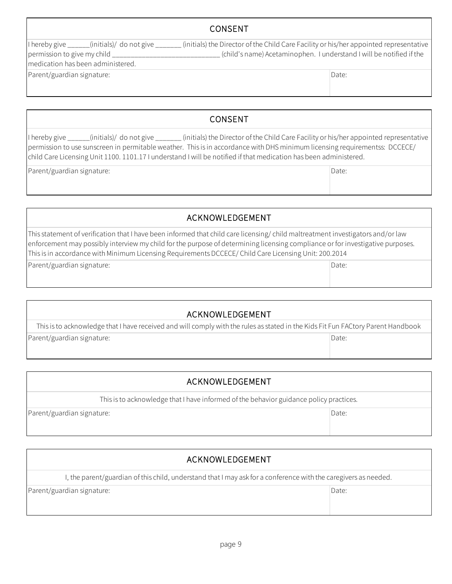#### CONSENT

I hereby give \_\_\_\_\_\_(initials)/ do not give \_\_\_\_\_\_\_ (initials) the Director of the Child Care Facility or his/her appointed representative permission to give my child \_\_\_\_\_\_\_\_\_\_\_\_\_\_\_\_\_\_\_\_\_\_\_\_\_\_\_\_\_ (child's name) Acetaminophen. I understand I will be notified if the medication has been administered.

Parent/guardian signature:

I hereby give \_\_\_\_\_\_(initials)/ do not give \_\_\_\_\_\_\_ (initials) the Director of the Child Care Facility or his/her appointed representative permission to use sunscreen in permitable weather. This is in accordance with DHS minimum licensing requirementss: DCCECE/ child Care Licensing Unit 1100. 1101.17 I understand I will be notified if that medication has been administered.

CONSENT

Parent/guardian signature:

ACKNOWLEDGEMENT

This statement of verification that I have been informed that child care licensing/ child maltreatment investigators and/or law enforcement may possibly interview my child for the purpose of determining licensing compliance or for investigative purposes. This is in accordance with Minimum Licensing Requirements DCCECE/ Child Care Licensing Unit: 200.2014

Parent/guardian signature:

#### ACKNOWLEDGEMENT

Date: This is to acknowledge that I have received and will comply with the rules as stated in the Kids Fit Fun FACtory Parent Handbook Parent/guardian signature:

| ACKNOWLEDGEMENT                                                                        |       |
|----------------------------------------------------------------------------------------|-------|
| This is to acknowledge that I have informed of the behavior guidance policy practices. |       |
| Parent/guardian signature:                                                             | Date: |

#### ACKNOWLEDGEMENT

I, the parent/guardian of this child, understand that I may ask for a conference with the caregivers as needed.

Parent/guardian signature: Date: Date: Date: Date: Date: Date: Date: Date: Date: Date: Date: Date: Date: Date: Date: Date: Date: Date: Date: Date: Date: Date: Date: Date: Date: Date: Date: Date: Date: Date: Date: Date: Dat

Date:

Date:

Date: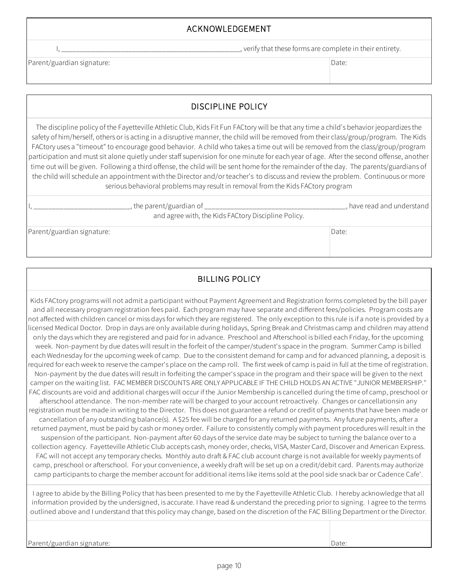#### ACKNOWLEDGEMENT

I, \_\_\_\_\_\_\_\_\_\_\_\_\_\_\_\_\_\_\_\_\_\_\_\_\_\_\_\_\_\_\_\_\_\_\_\_\_\_\_\_\_\_\_\_\_\_\_\_, verify that these forms are complete in their entirety.

Parent/guardian signature:

Date:

### DISCIPLINE POLICY

The discipline policy of the Fayetteville Athletic Club, Kids Fit Fun FACtory will be that any time a child's behavior jeopardizes the safety of him/herself, others or is acting in a disruptive manner, the child will be removed from their class/group/program. The Kids FACtory uses a "timeout" to encourage good behavior. A child who takes a time out will be removed from the class/group/program participation and must sit alone quietly under staff supervision for one minute for each year of age. After the second offense, another time out will be given. Following a third offense, the child will be sent home for the remainder of the day. The parents/guardians of the child will schedule an appointment with the Director and/or teacher's to discuss and review the problem. Continuous or more serious behavioral problems may result in removal from the Kids FACtory program

|                            | , the parent/guardian of _                          | , have read and understand |
|----------------------------|-----------------------------------------------------|----------------------------|
|                            | and agree with, the Kids FACtory Discipline Policy. |                            |
| Parent/guardian signature: |                                                     | Date:                      |

#### BILLING POLICY

Kids FACtory programs will not admit a participant without Payment Agreement and Registration forms completed by the bill payer and all necessary program registration fees paid. Each program may have separate and different fees/policies. Program costs are not affected with children cancel or miss days for which they are registered. The only exception to this rule is if a note is provided by a licensed Medical Doctor. Drop in days are only available during holidays, Spring Break and Christmas camp and children may attend only the days which they are registered and paid for in advance. Preschool and Afterschool is billed each Friday, for the upcoming week. Non-payment by due dates will result in the forfeit of the camper/student's space in the program. Summer Camp is billed each Wednesday for the upcoming week of camp. Due to the consistent demand for camp and for advanced planning, a deposit is required for each week to reserve the camper's place on the camp roll. The first week of camp is paid in full at the time of registration. Non-payment by the due dates will result in forfeiting the camper's space in the program and their space will be given to the next camper on the waiting list. FAC MEMBER DISCOUNTS ARE ONLY APPLICABLE IF THE CHILD HOLDS AN ACTIVE "JUNIOR MEMBERSHIP." FAC discounts are void and additional charges will occur if the Junior Membership is cancelled during the time of camp, preschool or afterschool attendance. The non-member rate will be charged to your account retroactively. Changes or cancellationsin any registration must be made in writing to the Director. This does not guarantee a refund or credit of payments that have been made or cancellation of any outstanding balance(s). A \$25 fee will be charged for any returned payments. Any future payments, after a returned payment, must be paid by cash or money order. Failure to consistently comply with payment procedures will result in the suspension of the participant. Non-payment after 60 days of the service date may be subject to turning the balance over to a collection agency. Fayetteville Athletic Club accepts cash, money order, checks, VISA, Master Card, Discover and American Express. FAC will not accept any temporary checks. Monthly auto draft & FAC club account charge is not available for weekly payments of camp, preschool or afterschool. For your convenience, a weekly draft will be set up on a credit/debit card. Parents may authorize camp participants to charge the member account for additional items like items sold at the pool side snack bar or Cadence Cafe'.

I agree to abide by the Billing Policy that has been presented to me by the Fayetteville Athletic Club. I hereby acknowledge that all information provided by the undersigned, is accurate. I have read & understand the preceding prior to signing. I agree to the terms outlined above and I understand that this policy may change, based on the discretion of the FAC Billing Department or the Director.

Parent/guardian signature:

Date: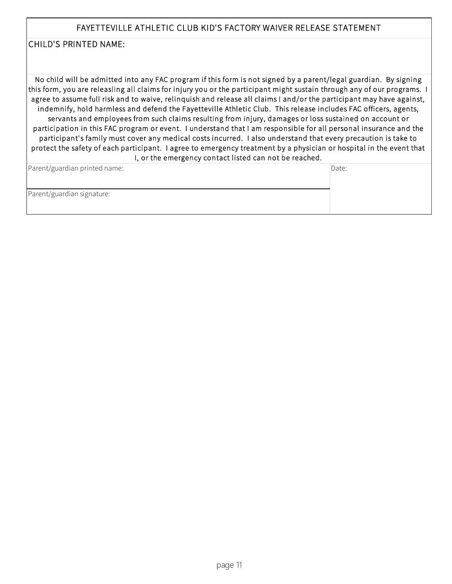#### FAYETTEVILLE ATHLETIC CLUB KID'S FACTORY WAIVER RELEASE STATEMENT

#### CHILD'S PRINTED NAME:

No child will be admitted into any FAC program if this form is not signed by a parent/legal guardian. By signing this form, you are releasling all claims for injury you or the participant might sustain through any of our programs. I agree to assume full risk and to waive, relinquish and release all claims I and/or the participant may have against, indemnify, hold harmless and defend the Fayetteville Athletic Club. This release includes FAC officers, agents, servants and employees from such claims resulting from injury, damages or loss sustained on account or participation in this FAC program or event. I understand that I am responsible for all personal insurance and the participant's family must cover any medical costs incurred. I also understand that every precaution is take to protect the safety of each participant. I agree to emergency treatment by a physician or hospital in the event that I, or the emergency contact listed can not be reached.

| Parent/guardian printed name: | Date: |
|-------------------------------|-------|
|                               |       |
| Parent/guardian signature:    |       |
|                               |       |